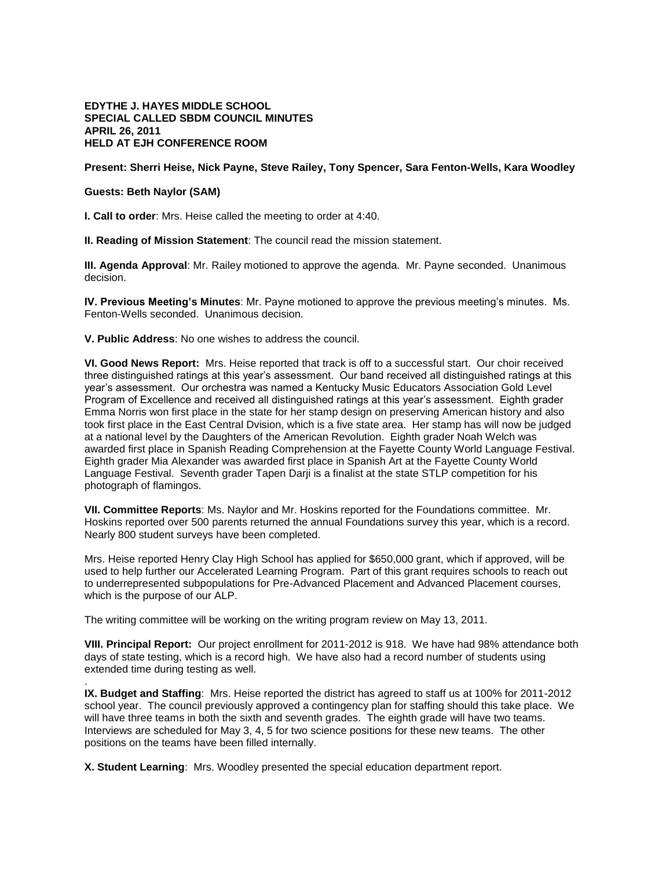## **EDYTHE J. HAYES MIDDLE SCHOOL SPECIAL CALLED SBDM COUNCIL MINUTES APRIL 26, 2011 HELD AT EJH CONFERENCE ROOM**

## **Present: Sherri Heise, Nick Payne, Steve Railey, Tony Spencer, Sara Fenton-Wells, Kara Woodley**

## **Guests: Beth Naylor (SAM)**

.

**I. Call to order**: Mrs. Heise called the meeting to order at 4:40.

**II. Reading of Mission Statement**: The council read the mission statement.

**III. Agenda Approval**: Mr. Railey motioned to approve the agenda. Mr. Payne seconded. Unanimous decision.

**IV. Previous Meeting's Minutes**: Mr. Payne motioned to approve the previous meeting's minutes. Ms. Fenton-Wells seconded. Unanimous decision.

**V. Public Address**: No one wishes to address the council.

**VI. Good News Report:** Mrs. Heise reported that track is off to a successful start. Our choir received three distinguished ratings at this year's assessment. Our band received all distinguished ratings at this year's assessment. Our orchestra was named a Kentucky Music Educators Association Gold Level Program of Excellence and received all distinguished ratings at this year's assessment. Eighth grader Emma Norris won first place in the state for her stamp design on preserving American history and also took first place in the East Central Dvision, which is a five state area. Her stamp has will now be judged at a national level by the Daughters of the American Revolution. Eighth grader Noah Welch was awarded first place in Spanish Reading Comprehension at the Fayette County World Language Festival. Eighth grader Mia Alexander was awarded first place in Spanish Art at the Fayette County World Language Festival. Seventh grader Tapen Darji is a finalist at the state STLP competition for his photograph of flamingos.

**VII. Committee Reports**: Ms. Naylor and Mr. Hoskins reported for the Foundations committee. Mr. Hoskins reported over 500 parents returned the annual Foundations survey this year, which is a record. Nearly 800 student surveys have been completed.

Mrs. Heise reported Henry Clay High School has applied for \$650,000 grant, which if approved, will be used to help further our Accelerated Learning Program. Part of this grant requires schools to reach out to underrepresented subpopulations for Pre-Advanced Placement and Advanced Placement courses, which is the purpose of our ALP.

The writing committee will be working on the writing program review on May 13, 2011.

**VIII. Principal Report:** Our project enrollment for 2011-2012 is 918. We have had 98% attendance both days of state testing, which is a record high. We have also had a record number of students using extended time during testing as well.

**IX. Budget and Staffing**: Mrs. Heise reported the district has agreed to staff us at 100% for 2011-2012 school year. The council previously approved a contingency plan for staffing should this take place. We will have three teams in both the sixth and seventh grades. The eighth grade will have two teams. Interviews are scheduled for May 3, 4, 5 for two science positions for these new teams. The other positions on the teams have been filled internally.

**X. Student Learning**: Mrs. Woodley presented the special education department report.